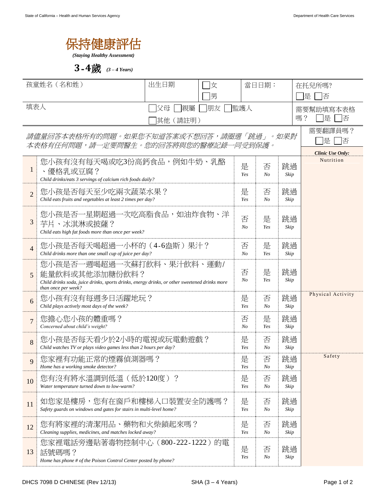

*(Staying Healthy Assessment)*

**3**-**4**歲 *(3 – 4 Years)*

| 孩童姓名 (名和姓)                                                                      |                                                                                                                                                                     | 出生日期<br>飞<br>男      |                     |            | 當日日期:               |            | 在托兒所嗎?<br>是<br>俖                              |  |
|---------------------------------------------------------------------------------|---------------------------------------------------------------------------------------------------------------------------------------------------------------------|---------------------|---------------------|------------|---------------------|------------|-----------------------------------------------|--|
| 填表人<br> 朋友<br>親屬<br>父母<br> 其他 (請註明)                                             |                                                                                                                                                                     |                     |                     | 監護人        |                     |            | 需要幫助填寫本表格<br>嗎?<br>是<br>俖                     |  |
| 請儘量回答本表格所有的問題。如果您不知道答案或不想回答,請圈選「跳過」。如果對<br>本表格有任何問題,請一定要問醫生。您的回答將與您的醫療記錄一同受到保護。 |                                                                                                                                                                     |                     |                     |            |                     |            | 需要翻譯員嗎?<br>是<br>百否<br><b>Clinic Use Only:</b> |  |
| $\mathbf{1}$                                                                    | 您小孩有沒有每天喝或吃3份高鈣食品,例如牛奶、乳酪<br>、優格乳或豆腐?<br>Child drinks/eats 3 servings of calcium rich foods daily?                                                                  | 是<br>Yes            | 否<br>N <sub>O</sub> | 跳過<br>Skip | Nutrition           |            |                                               |  |
| $\overline{2}$                                                                  | 您小孩是否每天至少吃兩次蔬菜水果?<br>Child eats fruits and vegetables at least 2 times per day?                                                                                     | 是<br>Yes            | 否<br>No             | 跳過<br>Skip |                     |            |                                               |  |
| 3                                                                               | 您小孩是否一星期超過一次吃高脂食品,如油炸食物、洋<br>芋片、冰淇淋或披薩?<br>Child eats high fat foods more than once per week?                                                                       | 否<br>N <sub>O</sub> | 是<br>Yes            | 跳過<br>Skip |                     |            |                                               |  |
| $\overline{4}$                                                                  | 您小孩是否每天喝超過一小杯的(4-6盎斯)果汁?<br>Child drinks more than one small cup of juice per day?                                                                                  |                     |                     |            | 是<br>Yes            | 跳過<br>Skip |                                               |  |
| 5                                                                               | 您小孩是否一週喝超過一次蘇打飲料、果汁飲料、運動/<br>能量飲料或其他添加糖份飲料?<br>Child drinks soda, juice drinks, sports drinks, energy drinks, or other sweetened drinks more<br>than once per week? | 否<br>$N_{O}$        | 是<br>Yes            | 跳過<br>Skip |                     |            |                                               |  |
| 6                                                                               | 您小孩有沒有每週多日活躍地玩?<br>Child plays actively most days of the week?                                                                                                      |                     |                     |            | 否<br>N <sub>O</sub> | 跳過<br>Skip | Physical Activity                             |  |
| $\overline{7}$                                                                  | 您擔心您小孩的體重嗎?<br>Concerned about child's weight?                                                                                                                      |                     |                     |            | 是<br>Yes            | 跳過<br>Skip |                                               |  |
| 8                                                                               | 您小孩是否每天看少於2小時的電視或玩電動遊戲?<br>Child watches TV or plays video games less than 2 hours per day?                                                                         |                     |                     |            | 否<br>N <sub>O</sub> | 跳過<br>Skip |                                               |  |
|                                                                                 | 您家裡有功能正常的煙霧偵測器嗎?<br>Home has a working smoke detector?                                                                                                              |                     |                     |            | 否<br>ட<br>No        | 跳過<br>Skip | Safety                                        |  |
| 10                                                                              | 您有沒有將水溫調到低溫(低於120度)?<br>Water temperature turned down to low-warm?                                                                                                  |                     |                     |            | 否<br>No             | 跳過<br>Skip |                                               |  |
| 11                                                                              | 如您家是樓房,您有在窗戶和樓梯入口裝置安全防護嗎?<br>Safety guards on windows and gates for stairs in multi-level home?                                                                     | 是<br>Yes            | 否<br>No             | 跳過<br>Skip |                     |            |                                               |  |
| 12                                                                              | 您有將家裡的清潔用品、藥物和火柴鎖起來嗎?<br>Cleaning supplies, medicines, and matches locked away?                                                                                     | 是<br>Yes            | 否<br>No             | 跳過<br>Skip |                     |            |                                               |  |
| 13                                                                              | 您家裡電話旁邊貼著毒物控制中心 (800-222-1222) 的電<br>話號碼嗎?<br>Home has phone # of the Poison Control Center posted by phone?                                                        | 是<br>Yes            | 否<br>No             | 跳過<br>Skip |                     |            |                                               |  |